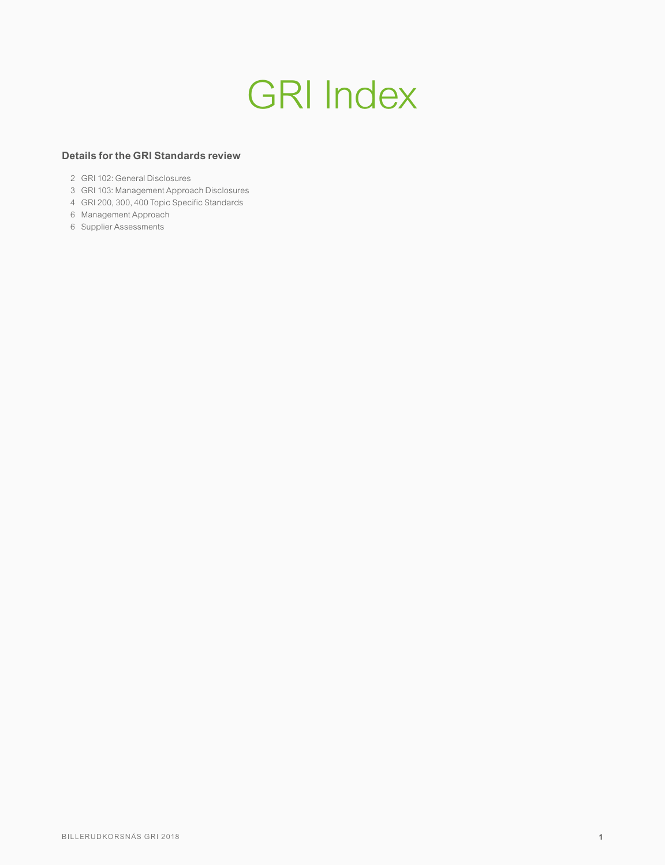# GRI Index

# **Details for the GRI Standards review**

- GRI 102: General Disclosures
- GRI 103: Management Approach Disclosures
- GRI 200, 300, 400 Topic Specific Standards
- Management Approach
- Supplier Assessments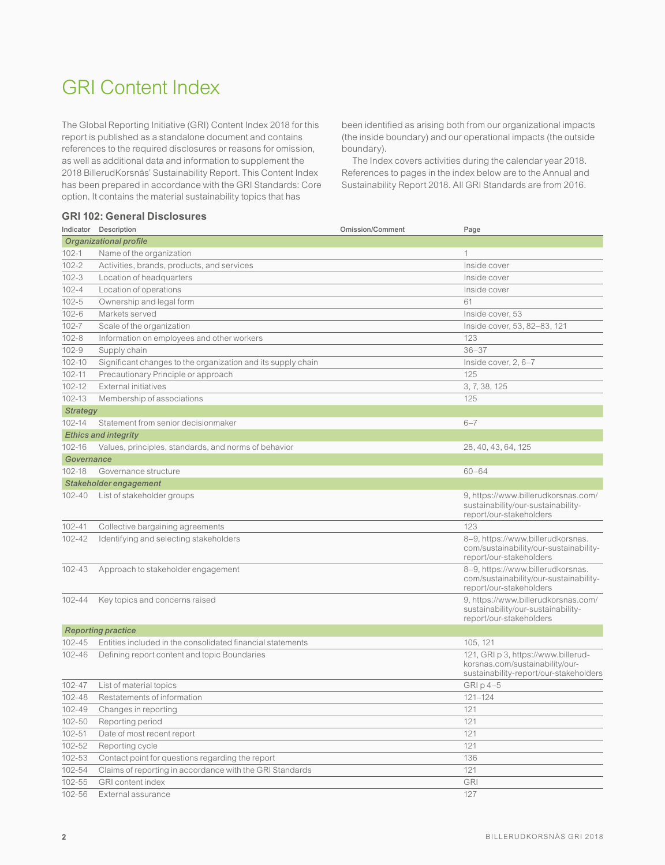# GRI Content Index

The Global Reporting Initiative (GRI) Content Index 2018 for this report is published as a standalone document and contains references to the required disclosures or reasons for omission, as well as additional data and information to supplement the 2018 BillerudKorsnäs' Sustainability Report. This Content Index has been prepared in accordance with the GRI Standards: Core option. It contains the material sustainability topics that has

# **GRI 102: General Disclosures**

been identified as arising both from our organizational impacts (the inside boundary) and our operational impacts (the outside boundary).

The Index covers activities during the calendar year 2018. References to pages in the index below are to the Annual and Sustainability Report 2018. All GRI Standards are from 2016.

|                        | Indicator Description                                        | <b>Omission/Comment</b> | Page                                                                                                             |
|------------------------|--------------------------------------------------------------|-------------------------|------------------------------------------------------------------------------------------------------------------|
| Organizational profile |                                                              |                         |                                                                                                                  |
| $102 - 1$              | Name of the organization                                     |                         | 1                                                                                                                |
| $102 - 2$              | Activities, brands, products, and services                   |                         | Inside cover                                                                                                     |
| $102 - 3$              | Location of headquarters                                     |                         | Inside cover                                                                                                     |
| $102 - 4$              | Location of operations                                       |                         | Inside cover                                                                                                     |
| $102 - 5$              | Ownership and legal form                                     |                         | 61                                                                                                               |
| $102 - 6$              | Markets served                                               |                         | Inside cover, 53                                                                                                 |
| $102 - 7$              | Scale of the organization                                    |                         | Inside cover, 53, 82-83, 121                                                                                     |
| $102 - 8$              | Information on employees and other workers                   |                         | 123                                                                                                              |
| $102 - 9$              | Supply chain                                                 |                         | $36 - 37$                                                                                                        |
| 102-10                 | Significant changes to the organization and its supply chain |                         | Inside cover, $2, 6-7$                                                                                           |
| 102-11                 | Precautionary Principle or approach                          |                         | 125                                                                                                              |
| 102-12                 | External initiatives                                         |                         | 3, 7, 38, 125                                                                                                    |
| 102-13                 | Membership of associations                                   |                         | 125                                                                                                              |
| <b>Strategy</b>        |                                                              |                         |                                                                                                                  |
| 102-14                 | Statement from senior decisionmaker                          |                         | $6 - 7$                                                                                                          |
|                        | <b>Ethics and integrity</b>                                  |                         |                                                                                                                  |
| 102-16                 | Values, principles, standards, and norms of behavior         |                         | 28, 40, 43, 64, 125                                                                                              |
| Governance             |                                                              |                         |                                                                                                                  |
| 102-18                 | Governance structure                                         |                         | $60 - 64$                                                                                                        |
|                        | Stakeholder engagement                                       |                         |                                                                                                                  |
| 102-40                 | List of stakeholder groups                                   |                         | 9, https://www.billerudkorsnas.com/<br>sustainability/our-sustainability-<br>report/our-stakeholders             |
| $102 - 41$             | Collective bargaining agreements                             |                         | 123                                                                                                              |
| 102-42                 | Identifying and selecting stakeholders                       |                         | 8-9, https://www.billerudkorsnas.<br>com/sustainability/our-sustainability-<br>report/our-stakeholders           |
| 102-43                 | Approach to stakeholder engagement                           |                         | 8-9, https://www.billerudkorsnas.<br>com/sustainability/our-sustainability-<br>report/our-stakeholders           |
| 102-44                 | Key topics and concerns raised                               |                         | 9, https://www.billerudkorsnas.com/<br>sustainability/our-sustainability-<br>report/our-stakeholders             |
|                        | <b>Reporting practice</b>                                    |                         |                                                                                                                  |
| 102-45                 | Entities included in the consolidated financial statements   |                         | 105.121                                                                                                          |
| 102-46                 | Defining report content and topic Boundaries                 |                         | 121, GRI p 3, https://www.billerud-<br>korsnas.com/sustainability/our-<br>sustainability-report/our-stakeholders |
| 102-47                 | List of material topics                                      |                         | GRI p 4-5                                                                                                        |
| 102-48                 | Restatements of information                                  |                         | $121 - 124$                                                                                                      |
| 102-49                 | Changes in reporting                                         |                         | 121                                                                                                              |
| 102-50                 | Reporting period                                             |                         | 121                                                                                                              |
| 102-51                 | Date of most recent report                                   |                         | 121                                                                                                              |
| 102-52                 | Reporting cycle                                              |                         | 121                                                                                                              |
| 102-53                 | Contact point for questions regarding the report             |                         | 136                                                                                                              |
| 102-54                 | Claims of reporting in accordance with the GRI Standards     |                         | 121                                                                                                              |
| 102-55                 | <b>GRI</b> content index                                     |                         | <b>GRI</b>                                                                                                       |
| 102-56                 | External assurance                                           |                         | 127                                                                                                              |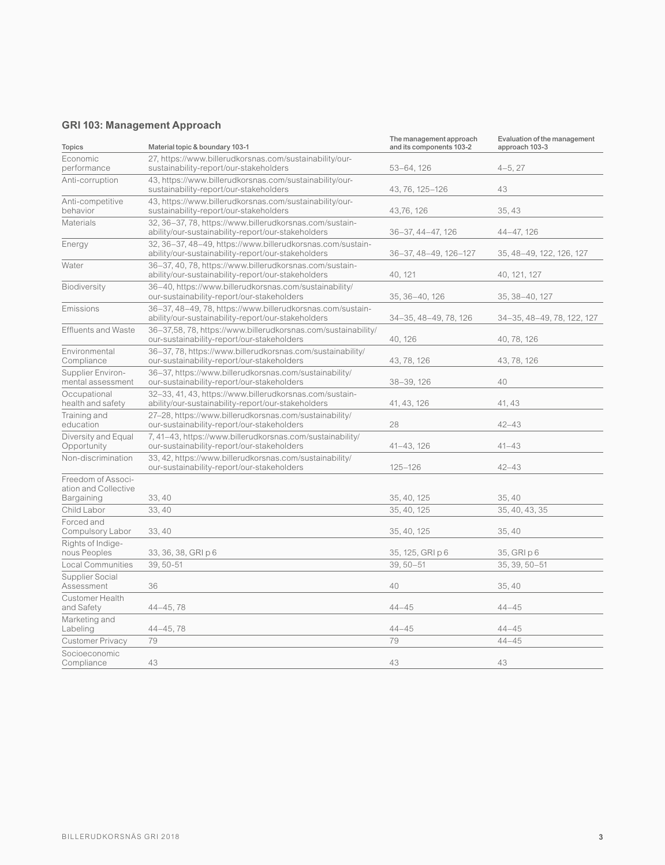# **GRI 103: Management Approach**

| <b>Topics</b>                                            | Material topic & boundary 103-1                                                                                  | The management approach<br>and its components 103-2 | Evaluation of the management<br>approach 103-3 |
|----------------------------------------------------------|------------------------------------------------------------------------------------------------------------------|-----------------------------------------------------|------------------------------------------------|
| Economic<br>performance                                  | 27, https://www.billerudkorsnas.com/sustainability/our-<br>sustainability-report/our-stakeholders                | $53 - 64, 126$                                      | $4 - 5, 27$                                    |
| Anti-corruption                                          | 43, https://www.billerudkorsnas.com/sustainability/our-<br>sustainability-report/our-stakeholders                | 43, 76, 125-126                                     | 43                                             |
| Anti-competitive<br>behavior                             | 43, https://www.billerudkorsnas.com/sustainability/our-<br>sustainability-report/our-stakeholders                | 43,76,126                                           | 35.43                                          |
| <b>Materials</b>                                         | 32, 36-37, 78, https://www.billerudkorsnas.com/sustain-<br>ability/our-sustainability-report/our-stakeholders    | 36-37, 44-47, 126                                   | 44-47, 126                                     |
| Energy                                                   | 32, 36-37, 48-49, https://www.billerudkorsnas.com/sustain-<br>ability/our-sustainability-report/our-stakeholders | 36-37, 48-49, 126-127                               | 35, 48-49, 122, 126, 127                       |
| Water                                                    | 36-37, 40, 78, https://www.billerudkorsnas.com/sustain-<br>ability/our-sustainability-report/our-stakeholders    | 40, 121                                             | 40, 121, 127                                   |
| Biodiversity                                             | 36-40, https://www.billerudkorsnas.com/sustainability/<br>our-sustainability-report/our-stakeholders             | 35, 36-40, 126                                      | 35, 38-40, 127                                 |
| Emissions                                                | 36-37, 48-49, 78, https://www.billerudkorsnas.com/sustain-<br>ability/our-sustainability-report/our-stakeholders | 34-35, 48-49, 78, 126                               | 34-35, 48-49, 78, 122, 127                     |
| <b>Effluents and Waste</b>                               | 36-37,58, 78, https://www.billerudkorsnas.com/sustainability/<br>our-sustainability-report/our-stakeholders      | 40, 126                                             | 40, 78, 126                                    |
| Environmental<br>Compliance                              | 36-37, 78, https://www.billerudkorsnas.com/sustainability/<br>our-sustainability-report/our-stakeholders         | 43, 78, 126                                         | 43, 78, 126                                    |
| Supplier Environ-<br>mental assessment                   | 36-37, https://www.billerudkorsnas.com/sustainability/<br>our-sustainability-report/our-stakeholders             | 38-39, 126                                          | 40                                             |
| Occupational<br>health and safety                        | 32-33, 41, 43, https://www.billerudkorsnas.com/sustain-<br>ability/our-sustainability-report/our-stakeholders    | 41, 43, 126                                         | 41, 43                                         |
| Training and<br>education                                | 27-28, https://www.billerudkorsnas.com/sustainability/<br>our-sustainability-report/our-stakeholders             | 28                                                  | $42 - 43$                                      |
| Diversity and Equal<br>Opportunity                       | 7, 41-43, https://www.billerudkorsnas.com/sustainability/<br>our-sustainability-report/our-stakeholders          | 41-43, 126                                          | $41 - 43$                                      |
| Non-discrimination                                       | 33, 42, https://www.billerudkorsnas.com/sustainability/<br>our-sustainability-report/our-stakeholders            | $125 - 126$                                         | $42 - 43$                                      |
| Freedom of Associ-<br>ation and Collective<br>Bargaining | 33, 40                                                                                                           | 35, 40, 125                                         | 35, 40                                         |
| Child Labor                                              | 33, 40                                                                                                           | 35, 40, 125                                         | 35, 40, 43, 35                                 |
| Forced and<br>Compulsory Labor                           | 33, 40                                                                                                           | 35, 40, 125                                         | 35, 40                                         |
| Rights of Indige-<br>nous Peoples                        | 33, 36, 38, GRI p 6                                                                                              | 35, 125, GRI p 6                                    | 35, GRI p 6                                    |
| <b>Local Communities</b>                                 | 39, 50-51                                                                                                        | $39,50 - 51$                                        | 35, 39, 50-51                                  |
| Supplier Social<br>Assessment                            | 36                                                                                                               | 40                                                  | 35, 40                                         |
| Customer Health<br>and Safety                            | $44 - 45, 78$                                                                                                    | $44 - 45$                                           | $44 - 45$                                      |
| Marketing and<br>Labeling                                | $44 - 45, 78$                                                                                                    | $44 - 45$                                           | $44 - 45$                                      |
| <b>Customer Privacy</b>                                  | 79                                                                                                               | 79                                                  | $44 - 45$                                      |
| Socioeconomic<br>Compliance                              | 43                                                                                                               | 43                                                  | 43                                             |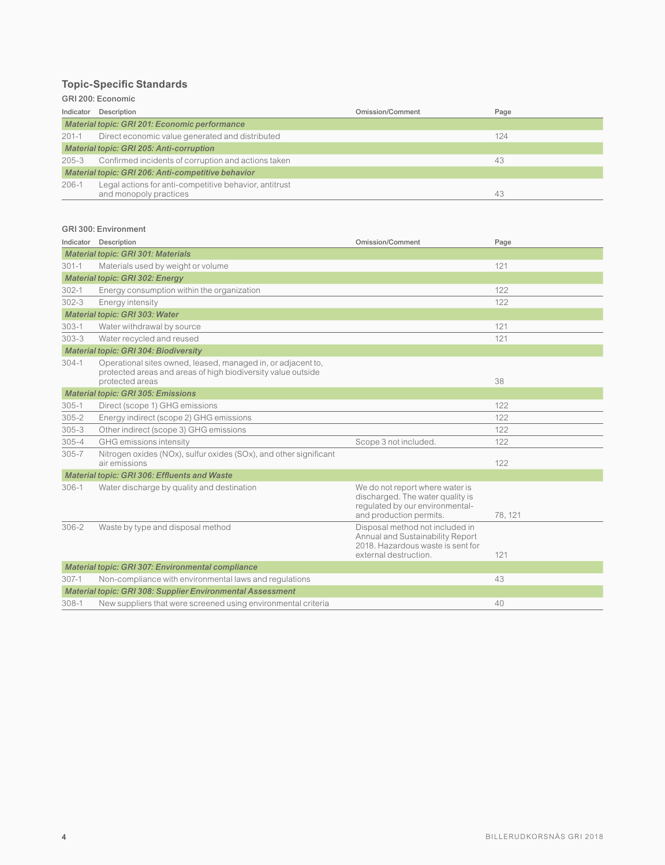# **Topic-Specific Standards**

# GRI 200: Economic

| Indicator                                          | Description                                                                      | Omission/Comment | Page |
|----------------------------------------------------|----------------------------------------------------------------------------------|------------------|------|
| Material topic: GRI 201: Economic performance      |                                                                                  |                  |      |
| $201 - 1$                                          | Direct economic value generated and distributed                                  |                  | 124  |
| Material topic: GRI 205: Anti-corruption           |                                                                                  |                  |      |
| 205-3                                              | Confirmed incidents of corruption and actions taken                              |                  | 43   |
| Material topic: GRI 206: Anti-competitive behavior |                                                                                  |                  |      |
| $206-1$                                            | Legal actions for anti-competitive behavior, antitrust<br>and monopoly practices |                  | 43   |

#### GRI 300: Environment

|           | Indicator Description                                                                                                        | <b>Omission/Comment</b>                                                                                                           | Page    |
|-----------|------------------------------------------------------------------------------------------------------------------------------|-----------------------------------------------------------------------------------------------------------------------------------|---------|
|           | <b>Material topic: GRI 301: Materials</b>                                                                                    |                                                                                                                                   |         |
| $301 - 1$ | Materials used by weight or volume                                                                                           |                                                                                                                                   | 121     |
|           | <b>Material topic: GRI 302: Energy</b>                                                                                       |                                                                                                                                   |         |
| $302 - 1$ | Energy consumption within the organization                                                                                   |                                                                                                                                   | 122     |
| $302 - 3$ | Energy intensity                                                                                                             |                                                                                                                                   | 122     |
|           | Material topic: GRI 303: Water                                                                                               |                                                                                                                                   |         |
| $303 - 1$ | Water withdrawal by source                                                                                                   |                                                                                                                                   | 121     |
| $303 - 3$ | Water recycled and reused                                                                                                    |                                                                                                                                   | 121     |
|           | <b>Material topic: GRI 304: Biodiversity</b>                                                                                 |                                                                                                                                   |         |
| $304-1$   | Operational sites owned, leased, managed in, or adjacent to,<br>protected areas and areas of high biodiversity value outside |                                                                                                                                   |         |
|           | protected areas                                                                                                              |                                                                                                                                   | 38      |
|           | <b>Material topic: GRI 305: Emissions</b>                                                                                    |                                                                                                                                   |         |
| $305 - 1$ | Direct (scope 1) GHG emissions                                                                                               |                                                                                                                                   | 122     |
| $305 - 2$ | Energy indirect (scope 2) GHG emissions                                                                                      |                                                                                                                                   | 122     |
| $305 - 3$ | Other indirect (scope 3) GHG emissions                                                                                       |                                                                                                                                   | 122     |
| $305 - 4$ | GHG emissions intensity                                                                                                      | Scope 3 not included.                                                                                                             | 122     |
| $305 - 7$ | Nitrogen oxides (NOx), sulfur oxides (SOx), and other significant<br>air emissions                                           |                                                                                                                                   | 122     |
|           | <b>Material topic: GRI 306: Effluents and Waste</b>                                                                          |                                                                                                                                   |         |
| $306 - 1$ | Water discharge by quality and destination                                                                                   | We do not report where water is<br>discharged. The water quality is<br>regulated by our environmental-<br>and production permits. | 78, 121 |
| $306 - 2$ | Waste by type and disposal method                                                                                            | Disposal method not included in<br>Annual and Sustainability Report<br>2018. Hazardous waste is sent for<br>external destruction. | 121     |
|           | Material topic: GRI 307: Environmental compliance                                                                            |                                                                                                                                   |         |
| $307-1$   | Non-compliance with environmental laws and regulations                                                                       |                                                                                                                                   | 43      |
|           | <b>Material topic: GRI 308: Supplier Environmental Assessment</b>                                                            |                                                                                                                                   |         |
| $308 - 1$ | New suppliers that were screened using environmental criteria                                                                |                                                                                                                                   | 40      |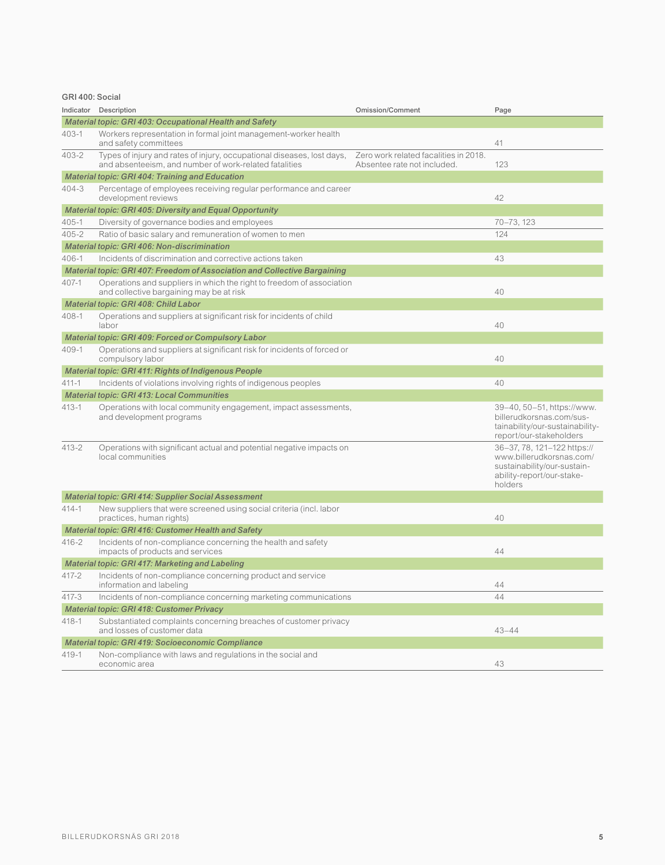# GRI 400: Social

| Indicator                                               | Description                                                                                                                      | <b>Omission/Comment</b>                                              | Page                                                                                                                           |
|---------------------------------------------------------|----------------------------------------------------------------------------------------------------------------------------------|----------------------------------------------------------------------|--------------------------------------------------------------------------------------------------------------------------------|
| Material topic: GRI 403: Occupational Health and Safety |                                                                                                                                  |                                                                      |                                                                                                                                |
| 403-1                                                   | Workers representation in formal joint management-worker health<br>and safety committees                                         |                                                                      | 41                                                                                                                             |
| 403-2                                                   | Types of injury and rates of injury, occupational diseases, lost days,<br>and absenteeism, and number of work-related fatalities | Zero work related facalities in 2018.<br>Absentee rate not included. | 123                                                                                                                            |
|                                                         | <b>Material topic: GRI 404: Training and Education</b>                                                                           |                                                                      |                                                                                                                                |
| $404 - 3$                                               | Percentage of employees receiving regular performance and career<br>development reviews                                          |                                                                      | 42                                                                                                                             |
|                                                         | <b>Material topic: GRI 405: Diversity and Equal Opportunity</b>                                                                  |                                                                      |                                                                                                                                |
| $405 - 1$                                               | Diversity of governance bodies and employees                                                                                     |                                                                      | 70-73, 123                                                                                                                     |
| $405 - 2$                                               | Ratio of basic salary and remuneration of women to men                                                                           |                                                                      | 124                                                                                                                            |
|                                                         | Material topic: GRI 406: Non-discrimination                                                                                      |                                                                      |                                                                                                                                |
| $406 - 1$                                               | Incidents of discrimination and corrective actions taken                                                                         |                                                                      | 43                                                                                                                             |
|                                                         | Material topic: GRI 407: Freedom of Association and Collective Bargaining                                                        |                                                                      |                                                                                                                                |
| 407-1                                                   | Operations and suppliers in which the right to freedom of association<br>and collective bargaining may be at risk                |                                                                      | 40                                                                                                                             |
|                                                         | Material topic: GRI 408: Child Labor                                                                                             |                                                                      |                                                                                                                                |
| 408-1                                                   | Operations and suppliers at significant risk for incidents of child<br>labor                                                     |                                                                      | 40                                                                                                                             |
|                                                         | Material topic: GRI 409: Forced or Compulsory Labor                                                                              |                                                                      |                                                                                                                                |
| 409-1                                                   | Operations and suppliers at significant risk for incidents of forced or<br>compulsory labor                                      |                                                                      | 40                                                                                                                             |
|                                                         | <b>Material topic: GRI 411: Rights of Indigenous People</b>                                                                      |                                                                      |                                                                                                                                |
| $411 - 1$                                               | Incidents of violations involving rights of indigenous peoples                                                                   |                                                                      | 40                                                                                                                             |
|                                                         | <b>Material topic: GRI 413: Local Communities</b>                                                                                |                                                                      |                                                                                                                                |
| $413 - 1$                                               | Operations with local community engagement, impact assessments,<br>and development programs                                      |                                                                      | 39-40, 50-51, https://www.<br>billerudkorsnas.com/sus-<br>tainability/our-sustainability-<br>report/our-stakeholders           |
| $413 - 2$                                               | Operations with significant actual and potential negative impacts on<br>local communities                                        |                                                                      | 36-37, 78, 121-122 https://<br>www.billerudkorsnas.com/<br>sustainability/our-sustain-<br>ability-report/our-stake-<br>holders |
|                                                         | <b>Material topic: GRI 414: Supplier Social Assessment</b>                                                                       |                                                                      |                                                                                                                                |
| $414 - 1$                                               | New suppliers that were screened using social criteria (incl. labor<br>practices, human rights)                                  |                                                                      | 40                                                                                                                             |
|                                                         | Material topic: GRI 416: Customer Health and Safety                                                                              |                                                                      |                                                                                                                                |
| $416 - 2$                                               | Incidents of non-compliance concerning the health and safety<br>impacts of products and services                                 |                                                                      | 44                                                                                                                             |
|                                                         | Material topic: GRI 417: Marketing and Labeling                                                                                  |                                                                      |                                                                                                                                |
| $417 - 2$                                               | Incidents of non-compliance concerning product and service<br>information and labeling                                           |                                                                      | 44                                                                                                                             |
| $417 - 3$                                               | Incidents of non-compliance concerning marketing communications                                                                  |                                                                      | 44                                                                                                                             |
| <b>Material topic: GRI 418: Customer Privacy</b>        |                                                                                                                                  |                                                                      |                                                                                                                                |
| $418 - 1$                                               | Substantiated complaints concerning breaches of customer privacy<br>and losses of customer data                                  |                                                                      | $43 - 44$                                                                                                                      |
|                                                         | <b>Material topic: GRI 419: Socioeconomic Compliance</b>                                                                         |                                                                      |                                                                                                                                |
| $419 - 1$                                               | Non-compliance with laws and regulations in the social and<br>economic area                                                      |                                                                      | 43                                                                                                                             |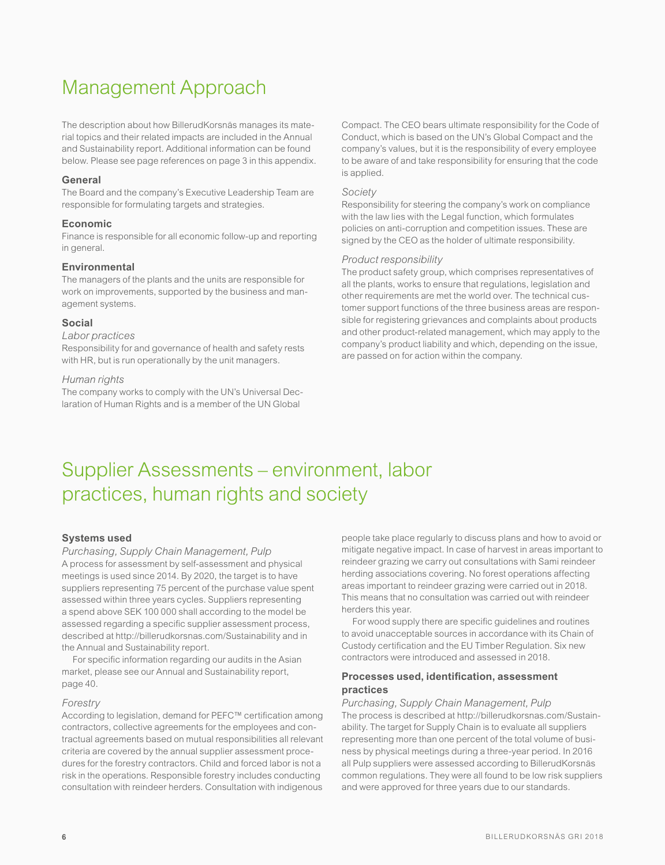# Management Approach

The description about how BillerudKorsnäs manages its material topics and their related impacts are included in the Annual and Sustainability report. Additional information can be found below. Please see page references on page 3 in this appendix.

#### **General**

The Board and the company's Executive Leadership Team are responsible for formulating targets and strategies.

# **Economic**

Finance is responsible for all economic follow-up and reporting in general.

#### **Environmental**

The managers of the plants and the units are responsible for work on improvements, supported by the business and management systems.

#### **Social**

#### *Labor practices*

Responsibility for and governance of health and safety rests with HR, but is run operationally by the unit managers.

#### *Human rights*

The company works to comply with the UN's Universal Declaration of Human Rights and is a member of the UN Global

Compact. The CEO bears ultimate responsibility for the Code of Conduct, which is based on the UN's Global Compact and the company's values, but it is the responsibility of every employee to be aware of and take responsibility for ensuring that the code is applied.

#### *Society*

Responsibility for steering the company's work on compliance with the law lies with the Legal function, which formulates policies on anti-corruption and competition issues. These are signed by the CEO as the holder of ultimate responsibility.

#### *Product responsibility*

The product safety group, which comprises representatives of all the plants, works to ensure that regulations, legislation and other requirements are met the world over. The technical customer support functions of the three business areas are responsible for registering grievances and complaints about products and other product-related management, which may apply to the company's product liability and which, depending on the issue, are passed on for action within the company.

# Supplier Assessments – environment, labor practices, human rights and society

#### **Systems used**

*Purchasing, Supply Chain Management, Pulp* A process for assessment by self-assessment and physical

meetings is used since 2014. By 2020, the target is to have suppliers representing 75 percent of the purchase value spent assessed within three years cycles. Suppliers representing a spend above SEK 100 000 shall according to the model be assessed regarding a specific supplier assessment process, described at http://billerudkorsnas.com/Sustainability and in the Annual and Sustainability report.

For specific information regarding our audits in the Asian market, please see our Annual and Sustainability report, page 40.

#### *Forestry*

According to legislation, demand for PEFC™ certification among contractors, collective agreements for the employees and contractual agreements based on mutual responsibilities all relevant criteria are covered by the annual supplier assessment procedures for the forestry contractors. Child and forced labor is not a risk in the operations. Responsible forestry includes conducting consultation with reindeer herders. Consultation with indigenous

people take place regularly to discuss plans and how to avoid or mitigate negative impact. In case of harvest in areas important to reindeer grazing we carry out consultations with Sami reindeer herding associations covering. No forest operations affecting areas important to reindeer grazing were carried out in 2018. This means that no consultation was carried out with reindeer herders this year.

For wood supply there are specific guidelines and routines to avoid unacceptable sources in accordance with its Chain of Custody certification and the EU Timber Regulation. Six new contractors were introduced and assessed in 2018.

# **Processes used, identification, assessment practices**

*Purchasing, Supply Chain Management, Pulp*  The process is described at http://billerudkorsnas.com/Sustainability. The target for Supply Chain is to evaluate all suppliers representing more than one percent of the total volume of business by physical meetings during a three-year period. In 2016 all Pulp suppliers were assessed according to BillerudKorsnäs common regulations. They were all found to be low risk suppliers and were approved for three years due to our standards.